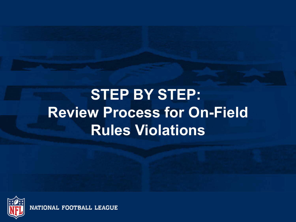# **STEP BY STEP: Review Process for On-Field Rules Violations**



NATIONAL FOOTBALL LEAGUE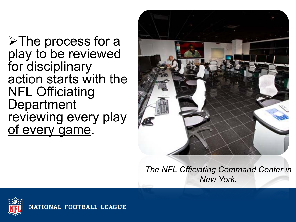$\triangleright$  The process for a play to be reviewed for disciplinary action starts with the NFL Officiating Department reviewing every play of every game.



*The NFL Officiating Command Center in New York.*

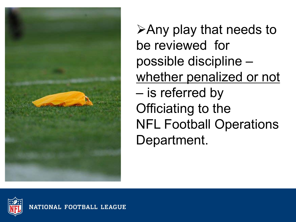

 $\triangleright$  Any play that needs to be reviewed for possible discipline – whether penalized or not – is referred by Officiating to the NFL Football Operations Department.

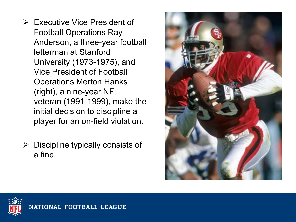- $\triangleright$  Executive Vice President of Football Operations Ray Anderson, a three-year football letterman at Stanford University (1973-1975), and Vice President of Football Operations Merton Hanks (right), a nine-year NFL veteran (1991-1999), make the initial decision to discipline a player for an on-field violation.
- $\triangleright$  Discipline typically consists of a fine.



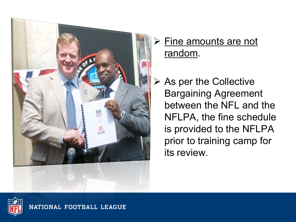

## > Fine amounts are not random.

 $\triangleright$  As per the Collective Bargaining Agreement between the NFL and the NFLPA, the fine schedule is provided to the NFLPA prior to training camp for its review.



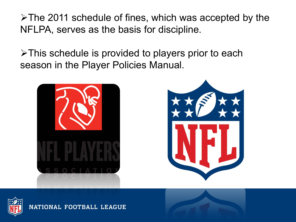$\triangleright$ The 2011 schedule of fines, which was accepted by the NFLPA, serves as the basis for discipline.

 $\triangleright$ This schedule is provided to players prior to each season in the Player Policies Manual.







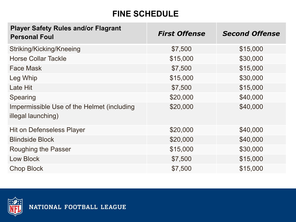#### **FINE SCHEDULE**

| <b>Player Safety Rules and/or Flagrant</b><br><b>Personal Foul</b> | <b>First Offense</b> | <b>Second Offense</b> |
|--------------------------------------------------------------------|----------------------|-----------------------|
| Striking/Kicking/Kneeing                                           | \$7,500              | \$15,000              |
| <b>Horse Collar Tackle</b>                                         | \$15,000             | \$30,000              |
| <b>Face Mask</b>                                                   | \$7,500              | \$15,000              |
| Leg Whip                                                           | \$15,000             | \$30,000              |
| Late Hit                                                           | \$7,500              | \$15,000              |
| Spearing                                                           | \$20,000             | \$40,000              |
| Impermissible Use of the Helmet (including<br>illegal launching)   | \$20,000             | \$40,000              |
| <b>Hit on Defenseless Player</b>                                   | \$20,000             | \$40,000              |
| <b>Blindside Block</b>                                             | \$20,000             | \$40,000              |
| Roughing the Passer                                                | \$15,000             | \$30,000              |
| Low Block                                                          | \$7,500              | \$15,000              |
| <b>Chop Block</b>                                                  | \$7,500              | \$15,000              |

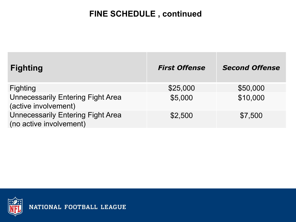#### **FINE SCHEDULE , continued**

| <b>Fighting</b>                                                     | <b>First Offense</b> | <b>Second Offense</b> |
|---------------------------------------------------------------------|----------------------|-----------------------|
| <b>Fighting</b>                                                     | \$25,000             | \$50,000              |
| <b>Unnecessarily Entering Fight Area</b><br>(active involvement)    | \$5,000              | \$10,000              |
| <b>Unnecessarily Entering Fight Area</b><br>(no active involvement) | \$2,500              | \$7,500               |

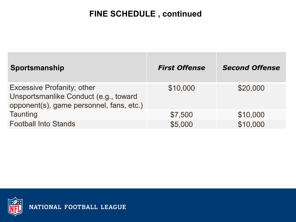#### **FINE SCHEDULE , continued**

| Sportsmanship                                                                                                          | <b>First Offense</b> | <b>Second Offense</b> |
|------------------------------------------------------------------------------------------------------------------------|----------------------|-----------------------|
| <b>Excessive Profanity; other</b><br>Unsportsmanlike Conduct (e.g., toward<br>opponent(s), game personnel, fans, etc.) | \$10,000             | \$20,000              |
| Taunting                                                                                                               | \$7,500              | \$10,000              |
| <b>Football Into Stands</b>                                                                                            | \$5,000              | \$10,000              |

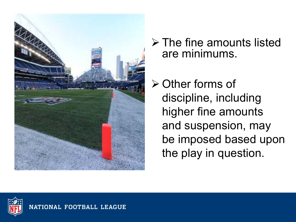

- $\triangleright$  The fine amounts listed are minimums.
- $\triangleright$  Other forms of discipline, including higher fine amounts and suspension, may be imposed based upon the play in question.

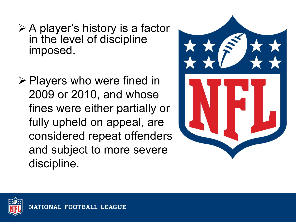- $\triangleright$  A player's history is a factor in the level of discipline imposed.
- $\triangleright$  Players who were fined in 2009 or 2010, and whose fines were either partially or fully upheld on appeal, are considered repeat offenders and subject to more severe discipline.



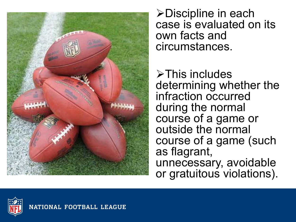

!Discipline in each case is evaluated on its own facts and circumstances.

 $\triangleright$ This includes determining whether the infraction occurred during the normal course of a game or outside the normal course of a game (such as flagrant, unnecessary, avoidable or gratuitous violations).

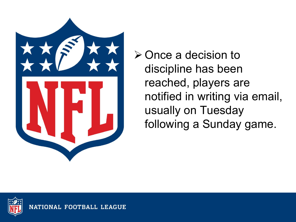

 $\triangleright$  Once a decision to discipline has been reached, players are notified in writing via email, usually on Tuesday following a Sunday game.

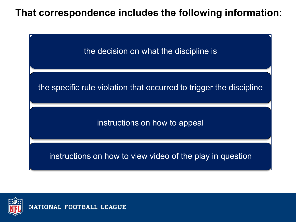### **That correspondence includes the following information:**



the specific rule violation that occurred to trigger the discipline

instructions on how to appeal

instructions on how to view video of the play in question

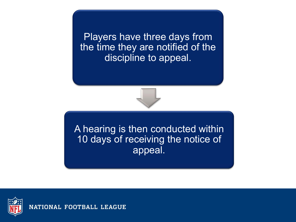Players have three days from the time they are notified of the discipline to appeal.



A hearing is then conducted within 10 days of receiving the notice of appeal.

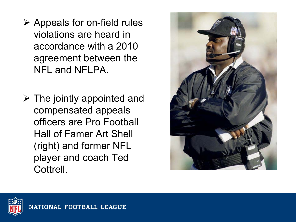- $\triangleright$  Appeals for on-field rules violations are heard in accordance with a 2010 agreement between the NFL and NFLPA.
- $\triangleright$  The jointly appointed and compensated appeals officers are Pro Football Hall of Famer Art Shell (right) and former NFL player and coach Ted Cottrell.



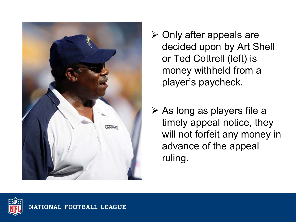

- $\triangleright$  Only after appeals are decided upon by Art Shell or Ted Cottrell (left) is money withheld from a player's paycheck.
- $\triangleright$  As long as players file a timely appeal notice, they will not forfeit any money in advance of the appeal ruling.

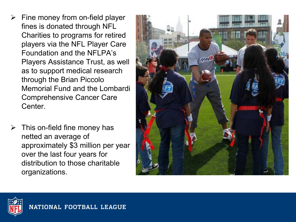- $\triangleright$  Fine money from on-field player fines is donated through NFL Charities to programs for retired players via the NFL Player Care Foundation and the NFLPA's Players Assistance Trust, as well as to support medical research through the Brian Piccolo Memorial Fund and the Lombardi Comprehensive Cancer Care Center.
- $\triangleright$  This on-field fine money has netted an average of approximately \$3 million per year over the last four years for distribution to those charitable organizations.